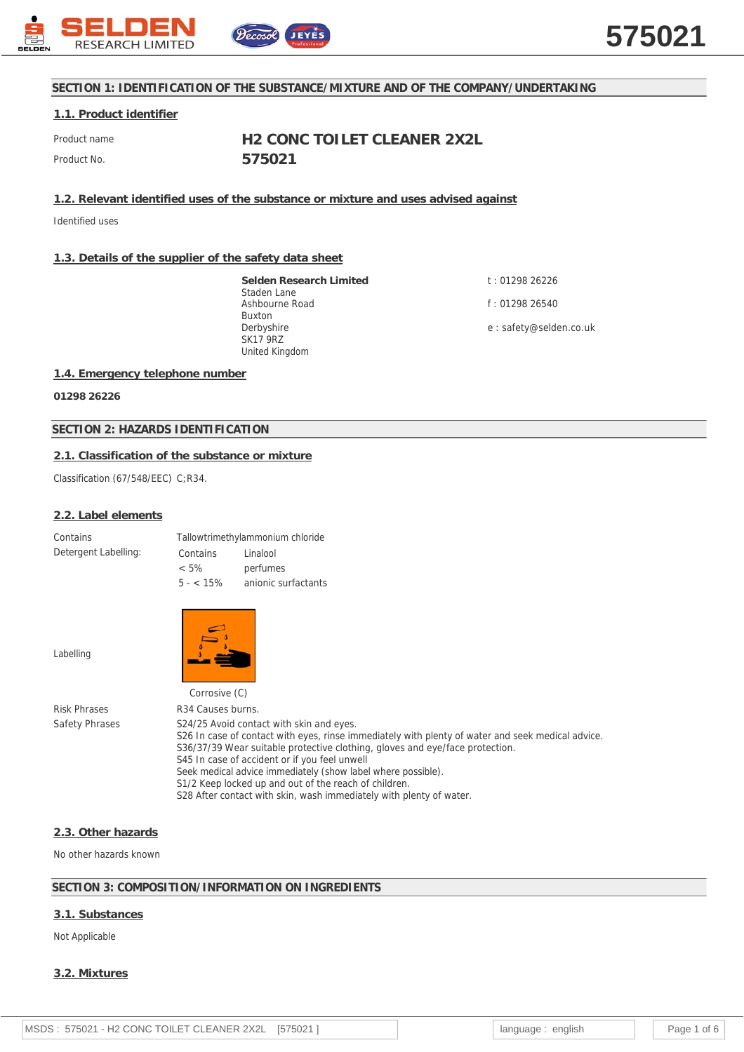

# **SECTION 1: IDENTIFICATION OF THE SUBSTANCE/MIXTURE AND OF THE COMPANY/UNDERTAKING**

## **1.1. Product identifier**

Product name **H2 CONC TOILET CLEANER 2X2L** Product No. **575021**

**1.2. Relevant identified uses of the substance or mixture and uses advised against**

Identified uses

## **1.3. Details of the supplier of the safety data sheet**

**Selden Research Limited** Staden Lane Ashbourne Road Buxton Derbyshire SK17 9RZ United Kingdom

t : 01298 26226

f : 01298 26540

e : safety@selden.co.uk

## **1.4. Emergency telephone number**

**01298 26226**

## **SECTION 2: HAZARDS IDENTIFICATION**

## **2.1. Classification of the substance or mixture**

Classification (67/548/EEC) C;R34.

#### **2.2. Label elements**

| Contains             | Та |
|----------------------|----|
| Detergent Labelling: | C. |

allowtrimethylammonium chloride ontains Linalool < 5% perfumes 5 - < 15% anionic surfactants

Labelling



Corrosive (C)

Risk Phrases R34 Causes burns. Safety Phrases S24/25 Avoid contact with skin and eyes. S26 In case of contact with eyes, rinse immediately with plenty of water and seek medical advice. S36/37/39 Wear suitable protective clothing, gloves and eye/face protection. S45 In case of accident or if you feel unwell Seek medical advice immediately (show label where possible). S1/2 Keep locked up and out of the reach of children. S28 After contact with skin, wash immediately with plenty of water.

#### **2.3. Other hazards**

No other hazards known

#### **SECTION 3: COMPOSITION/INFORMATION ON INGREDIENTS**

#### **3.1. Substances**

#### Not Applicable

#### **3.2. Mixtures**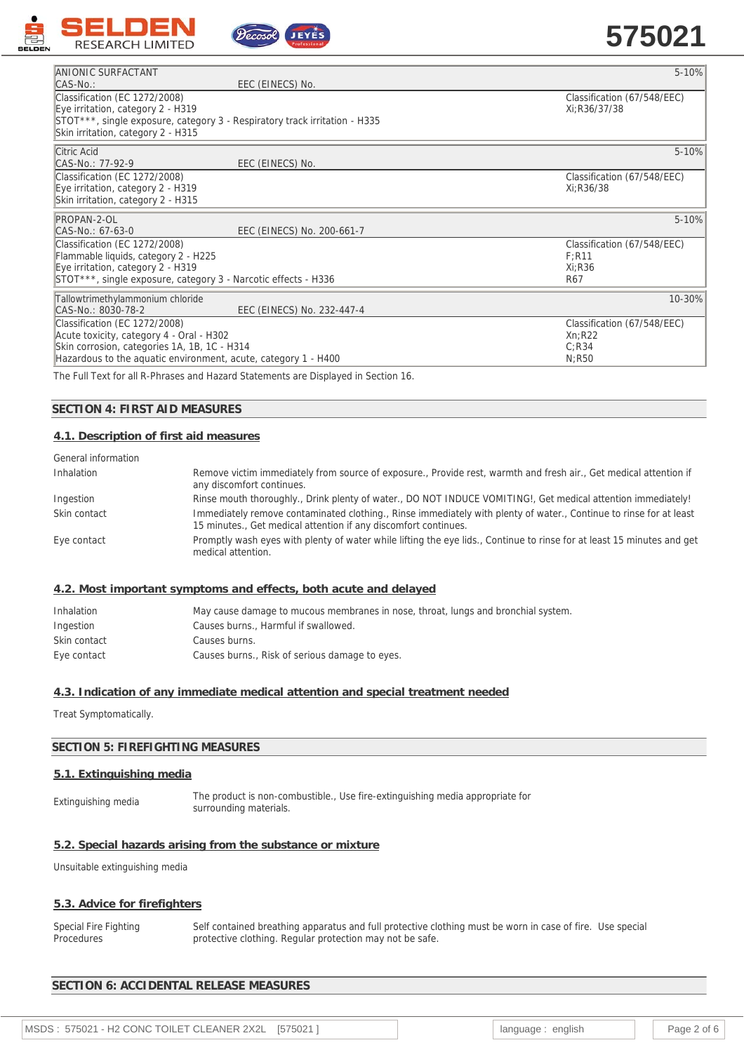



# **575021**

| ANIONIC SURFACTANT                                                         |                            | 5-10%                       |
|----------------------------------------------------------------------------|----------------------------|-----------------------------|
| CAS-No.:                                                                   | EEC (EINECS) No.           |                             |
| Classification (EC 1272/2008)                                              |                            | Classification (67/548/EEC) |
| Eye irritation, category 2 - H319                                          |                            | Xi:R36/37/38                |
| STOT***, single exposure, category 3 - Respiratory track irritation - H335 |                            |                             |
| Skin irritation, category 2 - H315                                         |                            |                             |
| Citric Acid                                                                |                            | 5-10%                       |
| CAS-No.: 77-92-9                                                           | EEC (EINECS) No.           |                             |
| Classification (EC 1272/2008)                                              |                            | Classification (67/548/EEC) |
| Eye irritation, category 2 - H319                                          |                            | Xi:R36/38                   |
| Skin irritation, category 2 - H315                                         |                            |                             |
| PROPAN-2-OL                                                                |                            | 5-10%                       |
| CAS-No.: 67-63-0                                                           | EEC (EINECS) No. 200-661-7 |                             |
| Classification (EC 1272/2008)                                              |                            | Classification (67/548/EEC) |
| Flammable liquids, category 2 - H225                                       |                            | F:R11                       |
| Eye irritation, category 2 - H319                                          |                            | Xi:R36                      |
| STOT***, single exposure, category 3 - Narcotic effects - H336             |                            | R67                         |
| Tallowtrimethylammonium chloride                                           |                            | 10-30%                      |
| CAS-No.: 8030-78-2                                                         | EEC (EINECS) No. 232-447-4 |                             |
| Classification (EC 1272/2008)                                              |                            | Classification (67/548/EEC) |
| Acute toxicity, category 4 - Oral - H302                                   |                            | Xn:R22                      |
| Skin corrosion, categories 1A, 1B, 1C - H314                               |                            | C:R34                       |
| Hazardous to the aguatic environment, acute, category 1 - H400             |                            | N:R50                       |

The Full Text for all R-Phrases and Hazard Statements are Displayed in Section 16.

## **SECTION 4: FIRST AID MEASURES**

## **4.1. Description of first aid measures**

| General information |                                                                                                                                                                                       |
|---------------------|---------------------------------------------------------------------------------------------------------------------------------------------------------------------------------------|
| Inhalation          | Remove victim immediately from source of exposure., Provide rest, warmth and fresh air., Get medical attention if<br>any discomfort continues.                                        |
| Ingestion           | Rinse mouth thoroughly., Drink plenty of water., DO NOT INDUCE VOMITING!, Get medical attention immediately!                                                                          |
| Skin contact        | Immediately remove contaminated clothing., Rinse immediately with plenty of water., Continue to rinse for at least<br>15 minutes., Get medical attention if any discomfort continues. |
| Eye contact         | Promptly wash eyes with plenty of water while lifting the eye lids., Continue to rinse for at least 15 minutes and get<br>medical attention.                                          |
|                     |                                                                                                                                                                                       |

## **4.2. Most important symptoms and effects, both acute and delayed**

| Inhalation   | May cause damage to mucous membranes in nose, throat, lungs and bronchial system. |
|--------------|-----------------------------------------------------------------------------------|
| Ingestion    | Causes burns Harmful if swallowed.                                                |
| Skin contact | Causes burns.                                                                     |
| Eye contact  | Causes burns., Risk of serious damage to eyes.                                    |

#### **4.3. Indication of any immediate medical attention and special treatment needed**

Treat Symptomatically.

## **SECTION 5: FIREFIGHTING MEASURES**

## **5.1. Extinguishing media**

Extinguishing media The product is non-combustible., Use fire-extinguishing media appropriate for surrounding materials.

#### **5.2. Special hazards arising from the substance or mixture**

Unsuitable extinguishing media

#### **5.3. Advice for firefighters**

Special Fire Fighting Procedures Self contained breathing apparatus and full protective clothing must be worn in case of fire. Use special protective clothing. Regular protection may not be safe.

### **SECTION 6: ACCIDENTAL RELEASE MEASURES**

|  | MSDS: 575021 - H2 CONC TOILET CLEANER 2X2L [575021 |  |  |  |
|--|----------------------------------------------------|--|--|--|
|--|----------------------------------------------------|--|--|--|

MSDS : 575021 - Hanguage : english and Page 2 of 6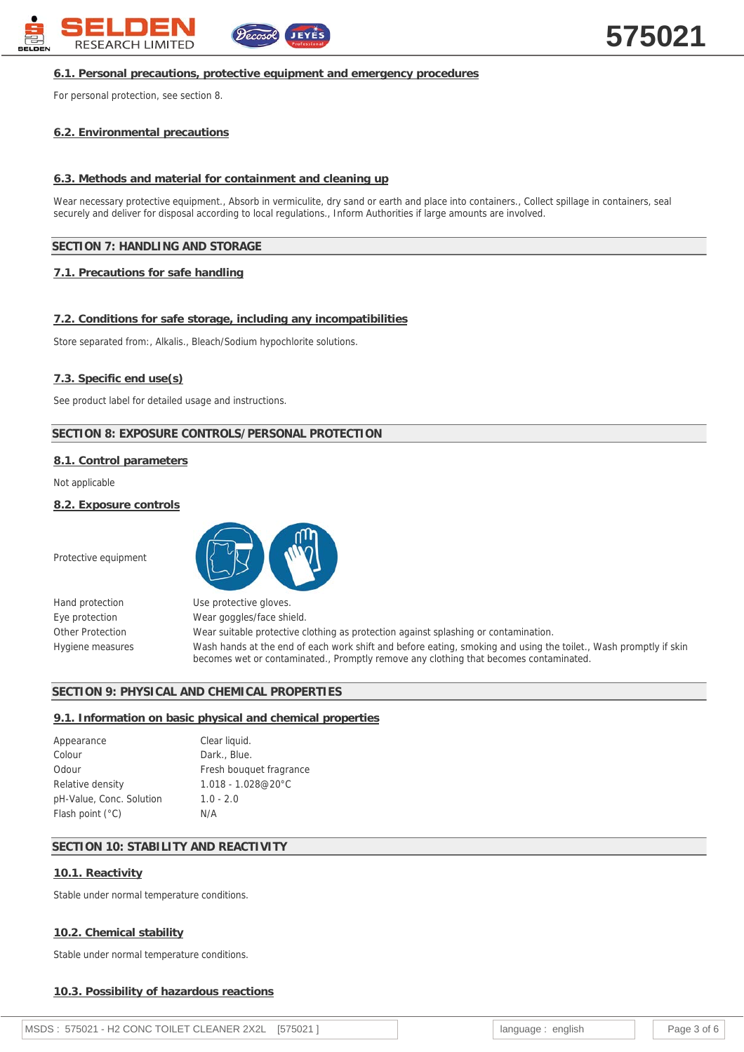

# **6.1. Personal precautions, protective equipment and emergency procedures**

For personal protection, see section 8.

## **6.2. Environmental precautions**

## **6.3. Methods and material for containment and cleaning up**

Wear necessary protective equipment., Absorb in vermiculite, dry sand or earth and place into containers., Collect spillage in containers, seal securely and deliver for disposal according to local regulations., Inform Authorities if large amounts are involved.

# **SECTION 7: HANDLING AND STORAGE**

# **7.1. Precautions for safe handling**

# **7.2. Conditions for safe storage, including any incompatibilities**

Store separated from:, Alkalis., Bleach/Sodium hypochlorite solutions.

# **7.3. Specific end use(s)**

See product label for detailed usage and instructions.

# **SECTION 8: EXPOSURE CONTROLS/PERSONAL PROTECTION**

## **8.1. Control parameters**

Not applicable

**8.2. Exposure controls**

Protective equipment



Hand protection Use protective gloves. Eye protection Wear goggles/face shield. Other Protection Wear suitable protective clothing as protection against splashing or contamination. Hygiene measures Wash hands at the end of each work shift and before eating, smoking and using the toilet., Wash promptly if skin becomes wet or contaminated., Promptly remove any clothing that becomes contaminated.

## **SECTION 9: PHYSICAL AND CHEMICAL PROPERTIES**

## **9.1. Information on basic physical and chemical properties**

| Appearance               | Clear liquid.           |
|--------------------------|-------------------------|
| Colour                   | Dark., Blue.            |
| Odour                    | Fresh bouquet fragrance |
| Relative density         | 1.018 - 1.028@20°C      |
| pH-Value, Conc. Solution | $1.0 - 2.0$             |
| Flash point $(°C)$       | N/A                     |
|                          |                         |

# **SECTION 10: STABILITY AND REACTIVITY**

## **10.1. Reactivity**

Stable under normal temperature conditions.

## **10.2. Chemical stability**

Stable under normal temperature conditions.

# **10.3. Possibility of hazardous reactions**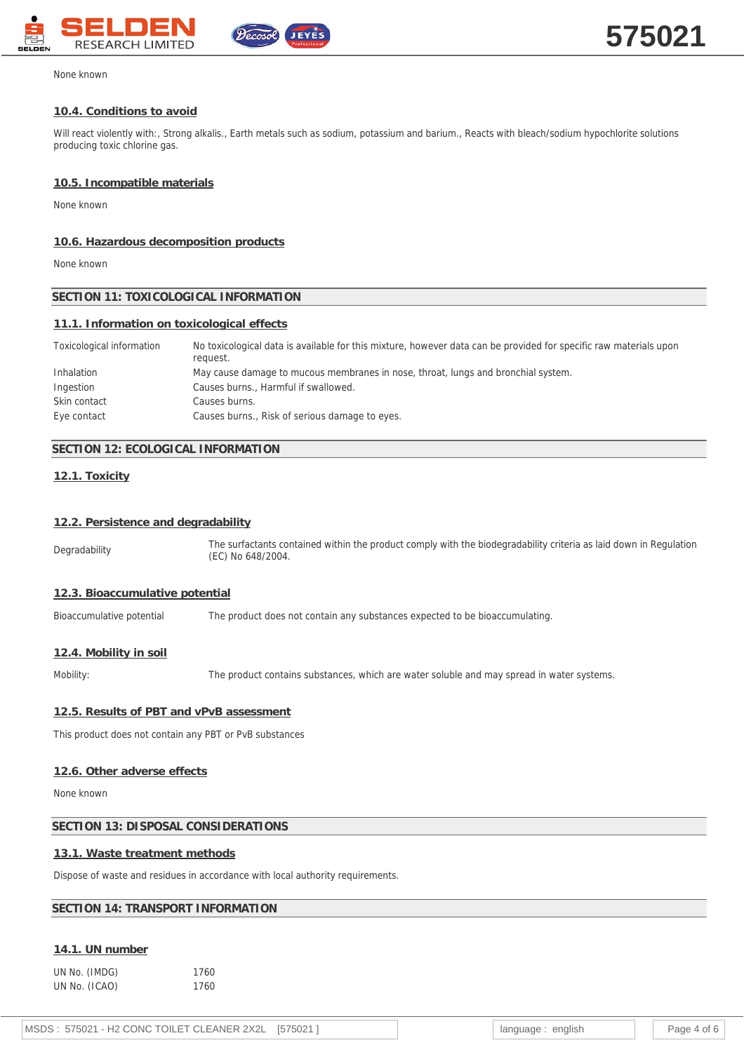

None known

#### **10.4. Conditions to avoid**

Will react violently with:, Strong alkalis., Earth metals such as sodium, potassium and barium., Reacts with bleach/sodium hypochlorite solutions producing toxic chlorine gas.

#### **10.5. Incompatible materials**

None known

#### **10.6. Hazardous decomposition products**

None known

## **SECTION 11: TOXICOLOGICAL INFORMATION**

#### **11.1. Information on toxicological effects**

| Toxicological information | No toxicological data is available for this mixture, however data can be provided for specific raw materials upon<br>request. |
|---------------------------|-------------------------------------------------------------------------------------------------------------------------------|
| Inhalation                | May cause damage to mucous membranes in nose, throat, lungs and bronchial system.                                             |
| Ingestion                 | Causes burns., Harmful if swallowed.                                                                                          |
| Skin contact              | Causes burns.                                                                                                                 |
| Eye contact               | Causes burns., Risk of serious damage to eyes.                                                                                |

#### **SECTION 12: ECOLOGICAL INFORMATION**

#### **12.1. Toxicity**

### **12.2. Persistence and degradability**

Degradability The surfactants contained within the product comply with the biodegradability criteria as laid down in Regulation (EC) No 648/2004.

## **12.3. Bioaccumulative potential**

Bioaccumulative potential The product does not contain any substances expected to be bioaccumulating.

## **12.4. Mobility in soil**

Mobility: The product contains substances, which are water soluble and may spread in water systems.

#### **12.5. Results of PBT and vPvB assessment**

This product does not contain any PBT or PvB substances

#### **12.6. Other adverse effects**

None known

## **SECTION 13: DISPOSAL CONSIDERATIONS**

### **13.1. Waste treatment methods**

Dispose of waste and residues in accordance with local authority requirements.

## **SECTION 14: TRANSPORT INFORMATION**

#### **14.1. UN number**

UN No. (IMDG) 1760 UN No. (ICAO) 1760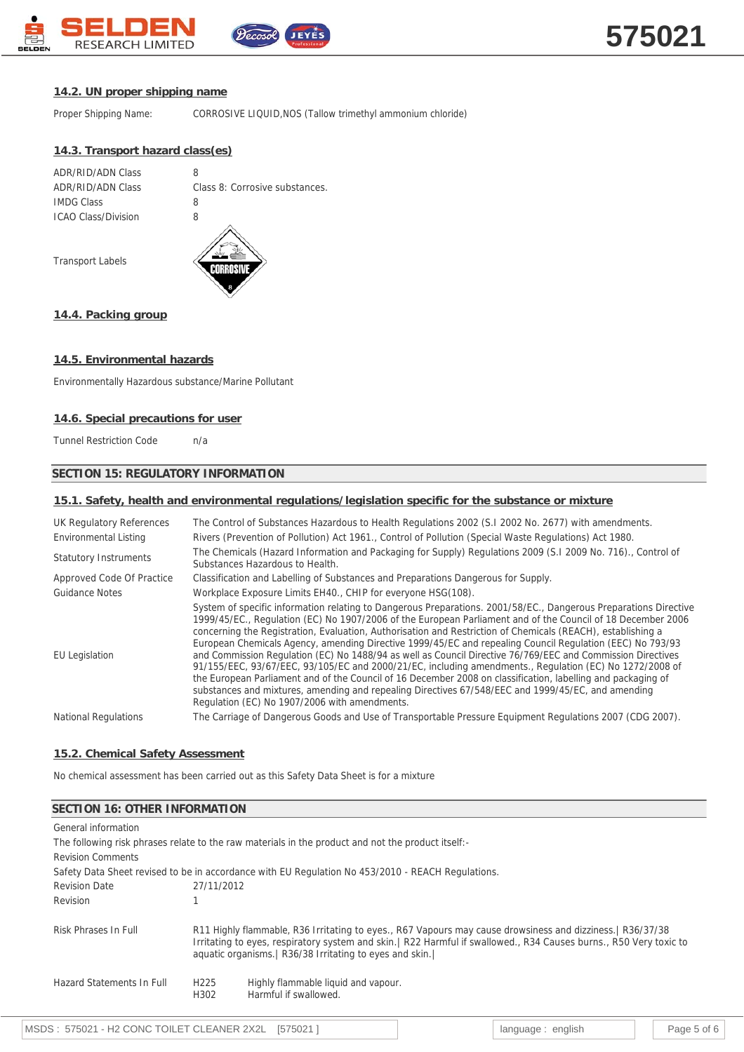

## **14.2. UN proper shipping name**

Proper Shipping Name: CORROSIVE LIQUID,NOS (Tallow trimethyl ammonium chloride)

# **14.3. Transport hazard class(es)**

| ADR/RID/ADN Class          | 8                              |
|----------------------------|--------------------------------|
| ADR/RID/ADN Class          | Class 8: Corrosive substances. |
| <b>IMDG Class</b>          | α                              |
| <b>ICAO Class/Division</b> | 8                              |
|                            |                                |

Transport Labels



## **14.4. Packing group**

## **14.5. Environmental hazards**

Environmentally Hazardous substance/Marine Pollutant

## **14.6. Special precautions for user**

Tunnel Restriction Code n/a

## **SECTION 15: REGULATORY INFORMATION**

## **15.1. Safety, health and environmental regulations/legislation specific for the substance or mixture**

| UK Regulatory References<br>Environmental Listing | The Control of Substances Hazardous to Health Regulations 2002 (S.1 2002 No. 2677) with amendments.<br>Rivers (Prevention of Pollution) Act 1961., Control of Pollution (Special Waste Regulations) Act 1980.                                                                                                                                                                                                                                                                                                                                                                                                                                                                                                                                                                                                                                                                                                                                                |
|---------------------------------------------------|--------------------------------------------------------------------------------------------------------------------------------------------------------------------------------------------------------------------------------------------------------------------------------------------------------------------------------------------------------------------------------------------------------------------------------------------------------------------------------------------------------------------------------------------------------------------------------------------------------------------------------------------------------------------------------------------------------------------------------------------------------------------------------------------------------------------------------------------------------------------------------------------------------------------------------------------------------------|
| <b>Statutory Instruments</b>                      | The Chemicals (Hazard Information and Packaging for Supply) Regulations 2009 (S.I 2009 No. 716)., Control of<br>Substances Hazardous to Health.                                                                                                                                                                                                                                                                                                                                                                                                                                                                                                                                                                                                                                                                                                                                                                                                              |
| Approved Code Of Practice                         | Classification and Labelling of Substances and Preparations Dangerous for Supply.                                                                                                                                                                                                                                                                                                                                                                                                                                                                                                                                                                                                                                                                                                                                                                                                                                                                            |
| <b>Guidance Notes</b>                             | Workplace Exposure Limits EH40., CHIP for everyone HSG(108).                                                                                                                                                                                                                                                                                                                                                                                                                                                                                                                                                                                                                                                                                                                                                                                                                                                                                                 |
| <b>EU Legislation</b>                             | System of specific information relating to Dangerous Preparations. 2001/58/EC., Dangerous Preparations Directive<br>1999/45/EC., Regulation (EC) No 1907/2006 of the European Parliament and of the Council of 18 December 2006<br>concerning the Registration, Evaluation, Authorisation and Restriction of Chemicals (REACH), establishing a<br>European Chemicals Agency, amending Directive 1999/45/EC and repealing Council Regulation (EEC) No 793/93<br>and Commission Regulation (EC) No 1488/94 as well as Council Directive 76/769/EEC and Commission Directives<br>91/155/EEC, 93/67/EEC, 93/105/EC and 2000/21/EC, including amendments., Regulation (EC) No 1272/2008 of<br>the European Parliament and of the Council of 16 December 2008 on classification, labelling and packaging of<br>substances and mixtures, amending and repealing Directives 67/548/EEC and 1999/45/EC, and amending<br>Regulation (EC) No 1907/2006 with amendments. |
| <b>National Regulations</b>                       | The Carriage of Dangerous Goods and Use of Transportable Pressure Equipment Regulations 2007 (CDG 2007).                                                                                                                                                                                                                                                                                                                                                                                                                                                                                                                                                                                                                                                                                                                                                                                                                                                     |

#### **15.2. Chemical Safety Assessment**

No chemical assessment has been carried out as this Safety Data Sheet is for a mixture

## **SECTION 16: OTHER INFORMATION**

| ULUITUIN TUI UTTILIN TINI UTNIINTI UTN |                                                                                                                                                                                                                                                                                              |                                                                                                    |
|----------------------------------------|----------------------------------------------------------------------------------------------------------------------------------------------------------------------------------------------------------------------------------------------------------------------------------------------|----------------------------------------------------------------------------------------------------|
| General information                    |                                                                                                                                                                                                                                                                                              |                                                                                                    |
|                                        |                                                                                                                                                                                                                                                                                              | The following risk phrases relate to the raw materials in the product and not the product itself:- |
| <b>Revision Comments</b>               |                                                                                                                                                                                                                                                                                              |                                                                                                    |
|                                        |                                                                                                                                                                                                                                                                                              | Safety Data Sheet revised to be in accordance with EU Regulation No 453/2010 - REACH Regulations.  |
| <b>Revision Date</b>                   | 27/11/2012                                                                                                                                                                                                                                                                                   |                                                                                                    |
| Revision                               |                                                                                                                                                                                                                                                                                              |                                                                                                    |
| Risk Phrases In Full                   | R11 Highly flammable, R36 Irritating to eyes., R67 Vapours may cause drowsiness and dizziness.   R36/37/38<br>Irritating to eyes, respiratory system and skin.   R22 Harmful if swallowed., R34 Causes burns., R50 Very toxic to<br>aquatic organisms.   R36/38 Irritating to eves and skin. |                                                                                                    |
| <b>Hazard Statements In Full</b>       | H <sub>225</sub><br>H302                                                                                                                                                                                                                                                                     | Highly flammable liquid and vapour.<br>Harmful if swallowed.                                       |